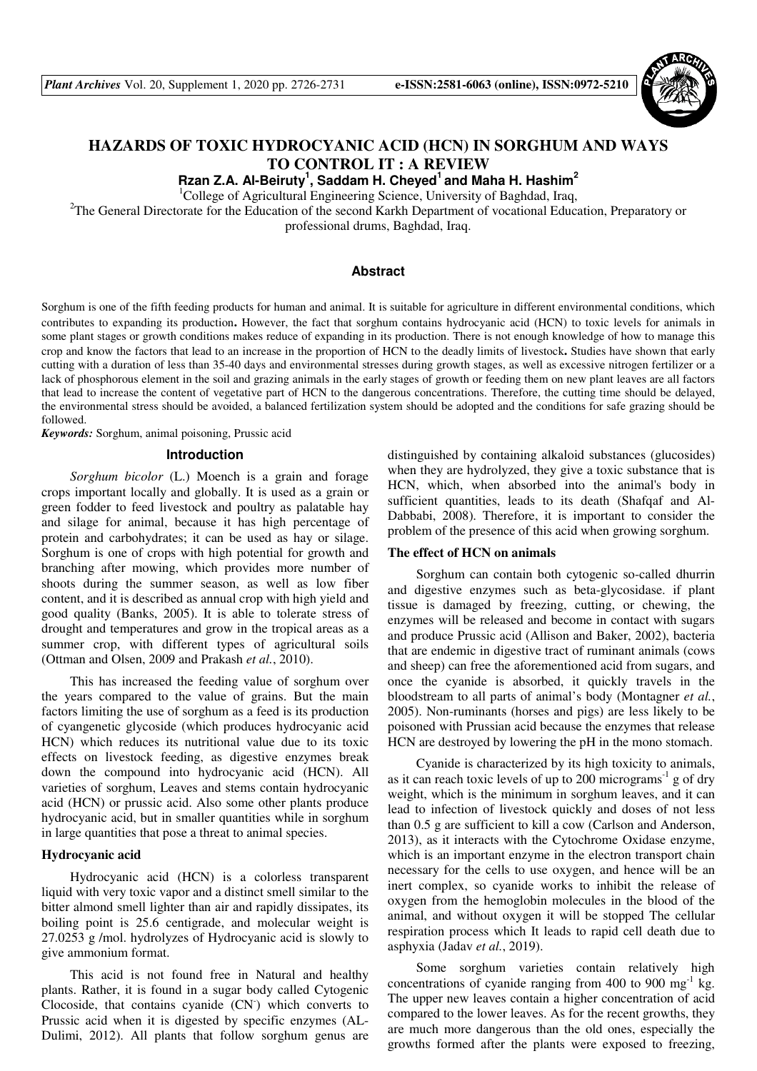

# **HAZARDS OF TOXIC HYDROCYANIC ACID (HCN) IN SORGHUM AND WAYS TO CONTROL IT : A REVIEW**

**Rzan Z.A. Al-Beiruty<sup>1</sup> , Saddam H. Cheyed<sup>1</sup>and Maha H. Hashim<sup>2</sup>**

<sup>1</sup>College of Agricultural Engineering Science, University of Baghdad, Iraq,

<sup>2</sup>The General Directorate for the Education of the second Karkh Department of vocational Education, Preparatory or professional drums, Baghdad, Iraq.

# **Abstract**

Sorghum is one of the fifth feeding products for human and animal. It is suitable for agriculture in different environmental conditions, which contributes to expanding its production. However, the fact that sorghum contains hydrocyanic acid (HCN) to toxic levels for animals in some plant stages or growth conditions makes reduce of expanding in its production. There is not enough knowledge of how to manage this crop and know the factors that lead to an increase in the proportion of HCN to the deadly limits of livestock. Studies have shown that early cutting with a duration of less than 35-40 days and environmental stresses during growth stages, as well as excessive nitrogen fertilizer or a lack of phosphorous element in the soil and grazing animals in the early stages of growth or feeding them on new plant leaves are all factors that lead to increase the content of vegetative part of HCN to the dangerous concentrations. Therefore, the cutting time should be delayed, the environmental stress should be avoided, a balanced fertilization system should be adopted and the conditions for safe grazing should be followed.

*Keywords:* Sorghum, animal poisoning, Prussic acid

#### **Introduction**

*Sorghum bicolor* (L.) Moench is a grain and forage crops important locally and globally. It is used as a grain or green fodder to feed livestock and poultry as palatable hay and silage for animal, because it has high percentage of protein and carbohydrates; it can be used as hay or silage. Sorghum is one of crops with high potential for growth and branching after mowing, which provides more number of shoots during the summer season, as well as low fiber content, and it is described as annual crop with high yield and good quality (Banks, 2005). It is able to tolerate stress of drought and temperatures and grow in the tropical areas as a summer crop, with different types of agricultural soils (Ottman and Olsen, 2009 and Prakash *et al.*, 2010).

This has increased the feeding value of sorghum over the years compared to the value of grains. But the main factors limiting the use of sorghum as a feed is its production of cyangenetic glycoside (which produces hydrocyanic acid HCN) which reduces its nutritional value due to its toxic effects on livestock feeding, as digestive enzymes break down the compound into hydrocyanic acid (HCN). All varieties of sorghum, Leaves and stems contain hydrocyanic acid (HCN) or prussic acid. Also some other plants produce hydrocyanic acid, but in smaller quantities while in sorghum in large quantities that pose a threat to animal species.

## **Hydrocyanic acid**

Hydrocyanic acid (HCN) is a colorless transparent liquid with very toxic vapor and a distinct smell similar to the bitter almond smell lighter than air and rapidly dissipates, its boiling point is 25.6 centigrade, and molecular weight is 27.0253 g /mol. hydrolyzes of Hydrocyanic acid is slowly to give ammonium format.

This acid is not found free in Natural and healthy plants. Rather, it is found in a sugar body called Cytogenic Clocoside, that contains cyanide (CN- ) which converts to Prussic acid when it is digested by specific enzymes (AL-Dulimi, 2012). All plants that follow sorghum genus are

distinguished by containing alkaloid substances (glucosides) when they are hydrolyzed, they give a toxic substance that is HCN, which, when absorbed into the animal's body in sufficient quantities, leads to its death (Shafqaf and Al-Dabbabi, 2008). Therefore, it is important to consider the problem of the presence of this acid when growing sorghum.

#### **The effect of HCN on animals**

Sorghum can contain both cytogenic so-called dhurrin and digestive enzymes such as beta-glycosidase. if plant tissue is damaged by freezing, cutting, or chewing, the enzymes will be released and become in contact with sugars and produce Prussic acid (Allison and Baker, 2002), bacteria that are endemic in digestive tract of ruminant animals (cows and sheep) can free the aforementioned acid from sugars, and once the cyanide is absorbed, it quickly travels in the bloodstream to all parts of animal's body (Montagner *et al.*, 2005). Non-ruminants (horses and pigs) are less likely to be poisoned with Prussian acid because the enzymes that release HCN are destroyed by lowering the pH in the mono stomach.

Cyanide is characterized by its high toxicity to animals, as it can reach toxic levels of up to 200 micrograms<sup> $-1$ </sup> g of dry weight, which is the minimum in sorghum leaves, and it can lead to infection of livestock quickly and doses of not less than 0.5 g are sufficient to kill a cow (Carlson and Anderson, 2013), as it interacts with the Cytochrome Oxidase enzyme, which is an important enzyme in the electron transport chain necessary for the cells to use oxygen, and hence will be an inert complex, so cyanide works to inhibit the release of oxygen from the hemoglobin molecules in the blood of the animal, and without oxygen it will be stopped The cellular respiration process which It leads to rapid cell death due to asphyxia (Jadav *et al.*, 2019).

Some sorghum varieties contain relatively high concentrations of cyanide ranging from 400 to 900  $mg^{-1}$  kg. The upper new leaves contain a higher concentration of acid compared to the lower leaves. As for the recent growths, they are much more dangerous than the old ones, especially the growths formed after the plants were exposed to freezing,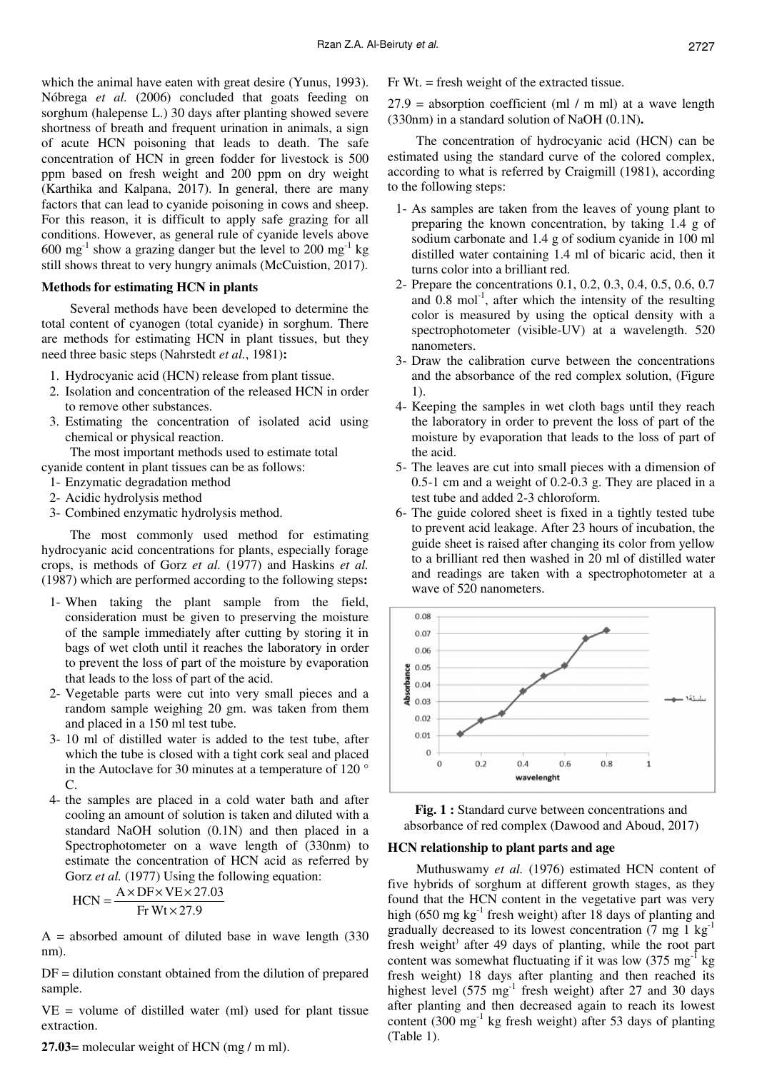which the animal have eaten with great desire (Yunus, 1993). Nóbrega *et al.* (2006) concluded that goats feeding on sorghum (halepense L.) 30 days after planting showed severe shortness of breath and frequent urination in animals, a sign of acute HCN poisoning that leads to death. The safe concentration of HCN in green fodder for livestock is 500 ppm based on fresh weight and 200 ppm on dry weight (Karthika and Kalpana, 2017). In general, there are many factors that can lead to cyanide poisoning in cows and sheep. For this reason, it is difficult to apply safe grazing for all conditions. However, as general rule of cyanide levels above  $600 \text{ mg}^{-1}$  show a grazing danger but the level to 200 mg<sup>-1</sup> kg still shows threat to very hungry animals (McCuistion, 2017).

## **Methods for estimating HCN in plants**

Several methods have been developed to determine the total content of cyanogen (total cyanide) in sorghum. There are methods for estimating HCN in plant tissues, but they need three basic steps (Nahrstedt *et al.*, 1981):

- 1. Hydrocyanic acid (HCN) release from plant tissue.
- 2. Isolation and concentration of the released HCN in order to remove other substances.
- 3. Estimating the concentration of isolated acid using chemical or physical reaction.

The most important methods used to estimate total cyanide content in plant tissues can be as follows:

- 1- Enzymatic degradation method
- 2- Acidic hydrolysis method
- 3- Combined enzymatic hydrolysis method.

The most commonly used method for estimating hydrocyanic acid concentrations for plants, especially forage crops, is methods of Gorz *et al.* (1977) and Haskins *et al.* (1987) which are performed according to the following steps:

- 1- When taking the plant sample from the field, consideration must be given to preserving the moisture of the sample immediately after cutting by storing it in bags of wet cloth until it reaches the laboratory in order to prevent the loss of part of the moisture by evaporation that leads to the loss of part of the acid.
- 2- Vegetable parts were cut into very small pieces and a random sample weighing 20 gm. was taken from them and placed in a 150 ml test tube.
- 3- 10 ml of distilled water is added to the test tube, after which the tube is closed with a tight cork seal and placed in the Autoclave for 30 minutes at a temperature of 120 °  $\mathcal{C}$ .
- 4- the samples are placed in a cold water bath and after cooling an amount of solution is taken and diluted with a standard NaOH solution (0.1N) and then placed in a Spectrophotometer on a wave length of (330nm) to estimate the concentration of HCN acid as referred by Gorz *et al.* (1977) Using the following equation:

$$
HCN = \frac{A \times DF \times VE \times 27.03}{Fr Wt \times 27.9}
$$

 $A =$  absorbed amount of diluted base in wave length  $(330)$ nm).

 $DF =$  dilution constant obtained from the dilution of prepared sample.

 $VE = volume of distilled water (ml) used for plant tissue$ extraction.

27.03= molecular weight of HCN (mg / m ml).

Fr Wt. = fresh weight of the extracted tissue.

 $27.9$  = absorption coefficient (ml / m ml) at a wave length (330nm) in a standard solution of NaOH (0.1N).

The concentration of hydrocyanic acid (HCN) can be estimated using the standard curve of the colored complex, according to what is referred by Craigmill (1981), according to the following steps:

- 1- As samples are taken from the leaves of young plant to preparing the known concentration, by taking 1.4 g of sodium carbonate and 1.4 g of sodium cyanide in 100 ml distilled water containing 1.4 ml of bicaric acid, then it turns color into a brilliant red.
- 2- Prepare the concentrations 0.1, 0.2, 0.3, 0.4, 0.5, 0.6, 0.7 and  $0.8 \text{ mol}^{-1}$ , after which the intensity of the resulting color is measured by using the optical density with a spectrophotometer (visible-UV) at a wavelength. 520 nanometers.
- 3- Draw the calibration curve between the concentrations and the absorbance of the red complex solution, (Figure 1).
- 4- Keeping the samples in wet cloth bags until they reach the laboratory in order to prevent the loss of part of the moisture by evaporation that leads to the loss of part of the acid.
- 5- The leaves are cut into small pieces with a dimension of 0.5-1 cm and a weight of 0.2-0.3 g. They are placed in a test tube and added 2-3 chloroform.
- 6- The guide colored sheet is fixed in a tightly tested tube to prevent acid leakage. After 23 hours of incubation, the guide sheet is raised after changing its color from yellow to a brilliant red then washed in 20 ml of distilled water and readings are taken with a spectrophotometer at a wave of 520 nanometers.



**Fig. 1 :** Standard curve between concentrations and absorbance of red complex (Dawood and Aboud, 2017)

#### **HCN relationship to plant parts and age**

Muthuswamy *et al.* (1976) estimated HCN content of five hybrids of sorghum at different growth stages, as they found that the HCN content in the vegetative part was very high (650 mg kg<sup>-1</sup> fresh weight) after 18 days of planting and gradually decreased to its lowest concentration  $(7 \text{ mg } 1 \text{ kg}^{-1})$ fresh weight<sup>)</sup> after 49 days of planting, while the root part content was somewhat fluctuating if it was low  $(375 \text{ mg}^{-1} \text{ kg})$ fresh weight) 18 days after planting and then reached its highest level  $(575 \text{ mg}^{-1} \text{ fresh weight})$  after 27 and 30 days after planting and then decreased again to reach its lowest content  $(300 \text{ mg}^{-1} \text{ kg}$  fresh weight) after 53 days of planting (Table 1).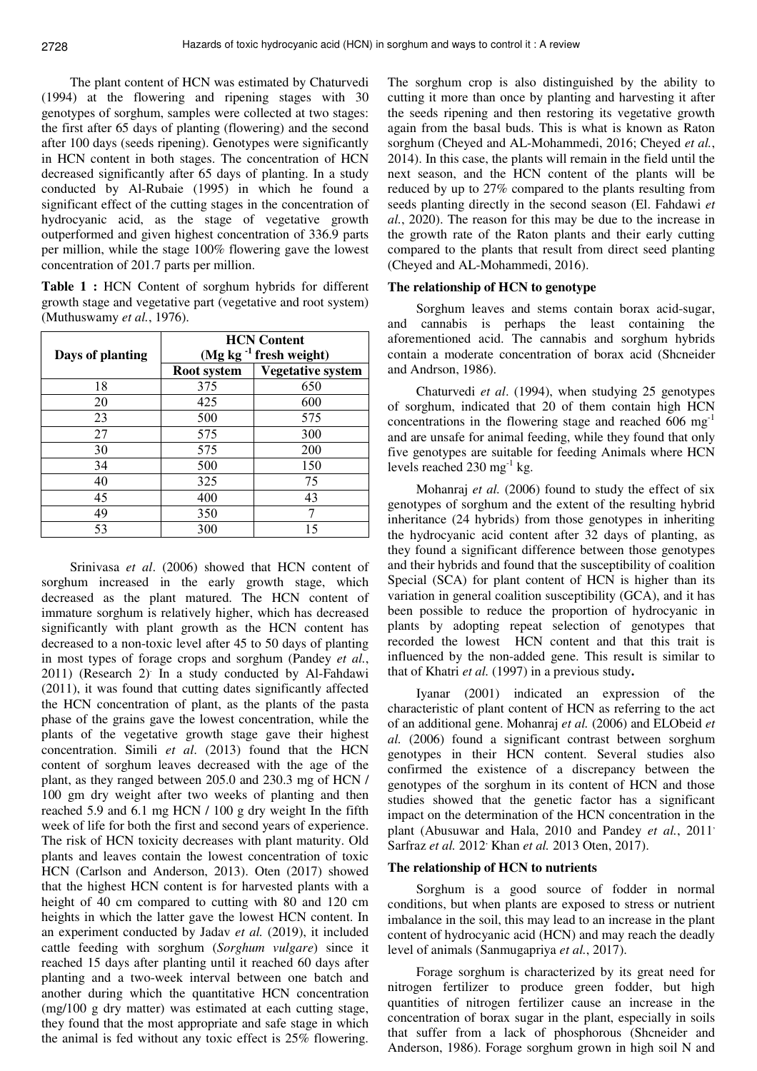The plant content of HCN was estimated by Chaturvedi (1994) at the flowering and ripening stages with 30 genotypes of sorghum, samples were collected at two stages: the first after 65 days of planting (flowering) and the second after 100 days (seeds ripening). Genotypes were significantly in HCN content in both stages. The concentration of HCN decreased significantly after 65 days of planting. In a study conducted by Al-Rubaie (1995) in which he found a significant effect of the cutting stages in the concentration of hydrocyanic acid, as the stage of vegetative growth outperformed and given highest concentration of 336.9 parts per million, while the stage 100% flowering gave the lowest concentration of 201.7 parts per million.

**Table 1 :** HCN Content of sorghum hybrids for different growth stage and vegetative part (vegetative and root system) (Muthuswamy *et al.*, 1976).

| Days of planting | <b>HCN</b> Content<br>(Mg kg $^{-1}$ fresh weight) |                          |
|------------------|----------------------------------------------------|--------------------------|
|                  | Root system                                        | <b>Vegetative system</b> |
| 18               | 375                                                | 650                      |
| 20               | 425                                                | 600                      |
| 23               | 500                                                | 575                      |
| 27               | 575                                                | 300                      |
| 30               | 575                                                | 200                      |
| 34               | 500                                                | 150                      |
| 40               | 325                                                | 75                       |
| 45               | 400                                                | 43                       |
| 49               | 350                                                |                          |
| 53               | 300                                                | 15                       |

Srinivasa *et al*. (2006) showed that HCN content of sorghum increased in the early growth stage, which decreased as the plant matured. The HCN content of immature sorghum is relatively higher, which has decreased significantly with plant growth as the HCN content has decreased to a non-toxic level after 45 to 50 days of planting in most types of forage crops and sorghum (Pandey *et al.*, 2011) (Research 2). In a study conducted by Al-Fahdawi (2011), it was found that cutting dates significantly affected the HCN concentration of plant, as the plants of the pasta phase of the grains gave the lowest concentration, while the plants of the vegetative growth stage gave their highest concentration. Simili *et al*. (2013) found that the HCN content of sorghum leaves decreased with the age of the plant, as they ranged between 205.0 and 230.3 mg of HCN / 100 gm dry weight after two weeks of planting and then reached 5.9 and 6.1 mg HCN / 100 g dry weight In the fifth week of life for both the first and second years of experience. The risk of HCN toxicity decreases with plant maturity. Old plants and leaves contain the lowest concentration of toxic HCN (Carlson and Anderson, 2013). Oten (2017) showed that the highest HCN content is for harvested plants with a height of 40 cm compared to cutting with 80 and 120 cm heights in which the latter gave the lowest HCN content. In an experiment conducted by Jadav *et al.* (2019), it included cattle feeding with sorghum (*Sorghum vulgare*) since it reached 15 days after planting until it reached 60 days after planting and a two-week interval between one batch and another during which the quantitative HCN concentration (mg/100 g dry matter) was estimated at each cutting stage, they found that the most appropriate and safe stage in which the animal is fed without any toxic effect is 25% flowering.

The sorghum crop is also distinguished by the ability to cutting it more than once by planting and harvesting it after the seeds ripening and then restoring its vegetative growth again from the basal buds. This is what is known as Raton sorghum (Cheyed and AL-Mohammedi, 2016; Cheyed *et al.*, 2014). In this case, the plants will remain in the field until the next season, and the HCN content of the plants will be reduced by up to 27% compared to the plants resulting from seeds planting directly in the second season (El. Fahdawi *et al.*, 2020). The reason for this may be due to the increase in the growth rate of the Raton plants and their early cutting compared to the plants that result from direct seed planting (Cheyed and AL-Mohammedi, 2016).

#### **The relationship of HCN to genotype**

Sorghum leaves and stems contain borax acid-sugar, and cannabis is perhaps the least containing the aforementioned acid. The cannabis and sorghum hybrids contain a moderate concentration of borax acid (Shcneider and Andrson, 1986).

Chaturvedi *et al*. (1994), when studying 25 genotypes of sorghum, indicated that 20 of them contain high HCN concentrations in the flowering stage and reached 606 mg and are unsafe for animal feeding, while they found that only five genotypes are suitable for feeding Animals where HCN levels reached  $230 \text{ mg}^{-1} \text{ kg}$ .

Mohanraj *et al.* (2006) found to study the effect of six genotypes of sorghum and the extent of the resulting hybrid inheritance (24 hybrids) from those genotypes in inheriting the hydrocyanic acid content after 32 days of planting, as they found a significant difference between those genotypes and their hybrids and found that the susceptibility of coalition Special (SCA) for plant content of HCN is higher than its variation in general coalition susceptibility (GCA), and it has been possible to reduce the proportion of hydrocyanic in plants by adopting repeat selection of genotypes that recorded the lowest HCN content and that this trait is influenced by the non-added gene. This result is similar to that of Khatri *et al.* (1997) in a previous study.

Iyanar (2001) indicated an expression of the characteristic of plant content of HCN as referring to the act of an additional gene. Mohanraj *et al.* (2006) and ELObeid *et al.* (2006) found a significant contrast between sorghum genotypes in their HCN content. Several studies also confirmed the existence of a discrepancy between the genotypes of the sorghum in its content of HCN and those studies showed that the genetic factor has a significant impact on the determination of the HCN concentration in the plant (Abusuwar and Hala, 2010 and Pandey *et al.*, 2011<sup>,</sup> Sarfraz *et al.* 2012<sup>,</sup> Khan *et al.* 2013 Oten, 2017).

## **The relationship of HCN to nutrients**

Sorghum is a good source of fodder in normal conditions, but when plants are exposed to stress or nutrient imbalance in the soil, this may lead to an increase in the plant content of hydrocyanic acid (HCN) and may reach the deadly level of animals (Sanmugapriya *et al.*, 2017).

Forage sorghum is characterized by its great need for nitrogen fertilizer to produce green fodder, but high quantities of nitrogen fertilizer cause an increase in the concentration of borax sugar in the plant, especially in soils that suffer from a lack of phosphorous (Shcneider and Anderson, 1986). Forage sorghum grown in high soil N and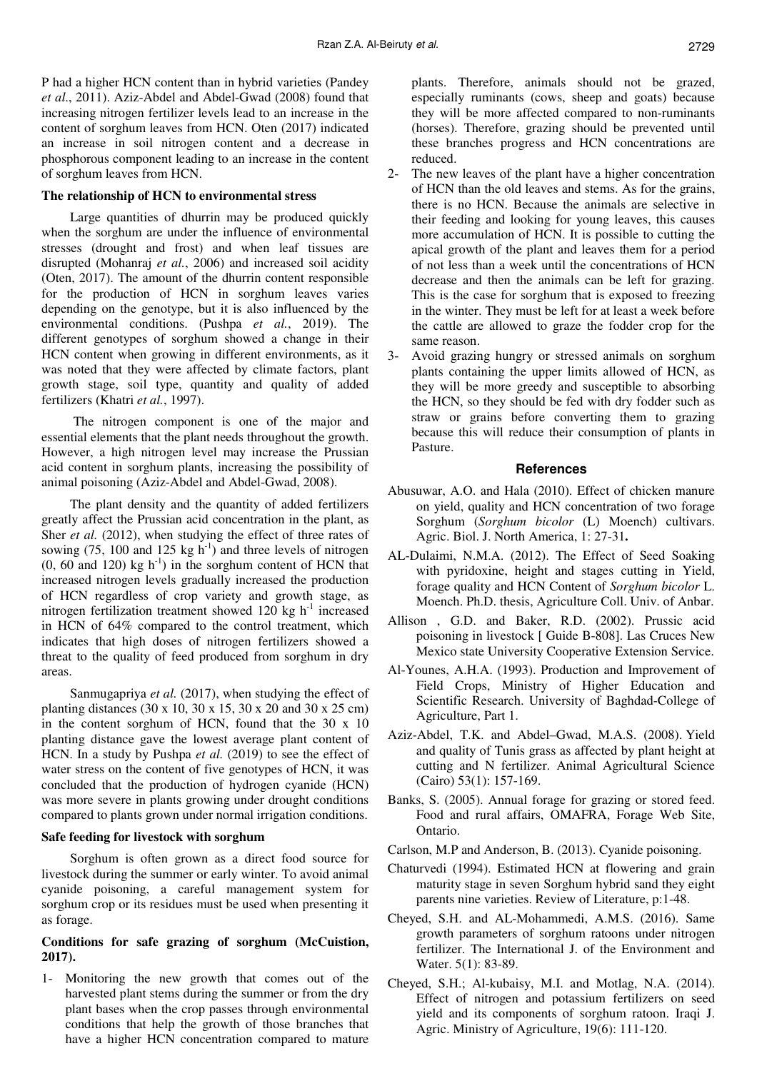P had a higher HCN content than in hybrid varieties (Pandey *et al*., 2011). Aziz-Abdel and Abdel-Gwad (2008) found that increasing nitrogen fertilizer levels lead to an increase in the content of sorghum leaves from HCN. Oten (2017) indicated an increase in soil nitrogen content and a decrease in phosphorous component leading to an increase in the content of sorghum leaves from HCN.

### **The relationship of HCN to environmental stress**

Large quantities of dhurrin may be produced quickly when the sorghum are under the influence of environmental stresses (drought and frost) and when leaf tissues are disrupted (Mohanraj *et al.*, 2006) and increased soil acidity (Oten, 2017). The amount of the dhurrin content responsible for the production of HCN in sorghum leaves varies depending on the genotype, but it is also influenced by the environmental conditions. (Pushpa *et al.*, 2019). The different genotypes of sorghum showed a change in their HCN content when growing in different environments, as it was noted that they were affected by climate factors, plant growth stage, soil type, quantity and quality of added fertilizers (Khatri *et al.*, 1997).

The nitrogen component is one of the major and essential elements that the plant needs throughout the growth. However, a high nitrogen level may increase the Prussian acid content in sorghum plants, increasing the possibility of animal poisoning (Aziz-Abdel and Abdel-Gwad, 2008).

The plant density and the quantity of added fertilizers greatly affect the Prussian acid concentration in the plant, as Sher *et al.* (2012), when studying the effect of three rates of sowing (75, 100 and 125 kg  $h^{-1}$ ) and three levels of nitrogen  $(0, 60$  and 120) kg h<sup>-1</sup>) in the sorghum content of HCN that increased nitrogen levels gradually increased the production of HCN regardless of crop variety and growth stage, as nitrogen fertilization treatment showed 120 kg  $h^{-1}$  increased in HCN of 64% compared to the control treatment, which indicates that high doses of nitrogen fertilizers showed a threat to the quality of feed produced from sorghum in dry areas.

Sanmugapriya *et al.* (2017), when studying the effect of planting distances (30 x 10, 30 x 15, 30 x 20 and 30 x 25 cm) in the content sorghum of HCN, found that the 30 x 10 planting distance gave the lowest average plant content of HCN. In a study by Pushpa *et al.* (2019) to see the effect of water stress on the content of five genotypes of HCN, it was concluded that the production of hydrogen cyanide (HCN) was more severe in plants growing under drought conditions compared to plants grown under normal irrigation conditions.

#### **Safe feeding for livestock with sorghum**

Sorghum is often grown as a direct food source for livestock during the summer or early winter. To avoid animal cyanide poisoning, a careful management system for sorghum crop or its residues must be used when presenting it as forage.

# **Conditions for safe grazing of sorghum (McCuistion, 2017).**

1- Monitoring the new growth that comes out of the harvested plant stems during the summer or from the dry plant bases when the crop passes through environmental conditions that help the growth of those branches that have a higher HCN concentration compared to mature plants. Therefore, animals should not be grazed, especially ruminants (cows, sheep and goats) because they will be more affected compared to non-ruminants (horses). Therefore, grazing should be prevented until these branches progress and HCN concentrations are reduced.

- 2- The new leaves of the plant have a higher concentration of HCN than the old leaves and stems. As for the grains, there is no HCN. Because the animals are selective in their feeding and looking for young leaves, this causes more accumulation of HCN. It is possible to cutting the apical growth of the plant and leaves them for a period of not less than a week until the concentrations of HCN decrease and then the animals can be left for grazing. This is the case for sorghum that is exposed to freezing in the winter. They must be left for at least a week before the cattle are allowed to graze the fodder crop for the same reason.
- 3- Avoid grazing hungry or stressed animals on sorghum plants containing the upper limits allowed of HCN, as they will be more greedy and susceptible to absorbing the HCN, so they should be fed with dry fodder such as straw or grains before converting them to grazing because this will reduce their consumption of plants in Pasture.

## **References**

- Abusuwar, A.O. and Hala (2010). Effect of chicken manure on yield, quality and HCN concentration of two forage Sorghum (*Sorghum bicolor* (L) Moench) cultivars. Agric. Biol. J. North America, 1: 27-31.
- AL-Dulaimi, N.M.A. (2012). The Effect of Seed Soaking with pyridoxine, height and stages cutting in Yield, forage quality and HCN Content of *Sorghum bicolor* L. Moench. Ph.D. thesis, Agriculture Coll. Univ. of Anbar.
- Allison , G.D. and Baker, R.D. (2002). Prussic acid poisoning in livestock [ Guide B-808]. Las Cruces New Mexico state University Cooperative Extension Service.
- Al-Younes, A.H.A. (1993). Production and Improvement of Field Crops, Ministry of Higher Education and Scientific Research. University of Baghdad-College of Agriculture, Part 1.
- Aziz-Abdel, T.K. and Abdel–Gwad, M.A.S. (2008). Yield and quality of Tunis grass as affected by plant height at cutting and N fertilizer. Animal Agricultural Science (Cairo) 53(1): 157-169.
- Banks, S. (2005). Annual forage for grazing or stored feed. Food and rural affairs, OMAFRA, Forage Web Site, Ontario.
- Carlson, M.P and Anderson, B. (2013). Cyanide poisoning.
- Chaturvedi (1994). Estimated HCN at flowering and grain maturity stage in seven Sorghum hybrid sand they eight parents nine varieties. Review of Literature, p:1-48.
- Cheyed, S.H. and AL-Mohammedi, A.M.S. (2016). Same growth parameters of sorghum ratoons under nitrogen fertilizer. The International J. of the Environment and Water. 5(1): 83-89.
- Cheyed, S.H.; Al-kubaisy, M.I. and Motlag, N.A. (2014). Effect of nitrogen and potassium fertilizers on seed yield and its components of sorghum ratoon. Iraqi J. Agric. Ministry of Agriculture, 19(6): 111-120.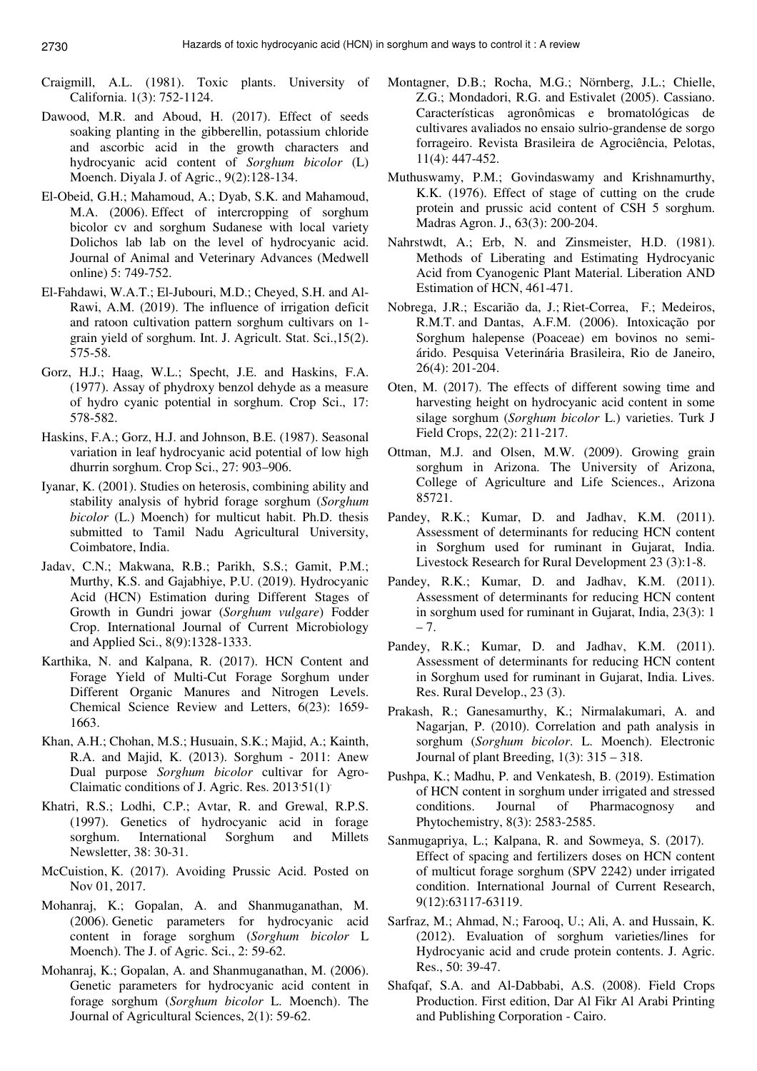- Craigmill, A.L. (1981). Toxic plants. University of California. 1(3): 752-1124.
- Dawood, M.R. and Aboud, H. (2017). Effect of seeds soaking planting in the gibberellin, potassium chloride and ascorbic acid in the growth characters and hydrocyanic acid content of *Sorghum bicolor* (L) Moench. Diyala J. of Agric., 9(2):128-134.
- El-Obeid, G.H.; Mahamoud, A.; Dyab, S.K. and Mahamoud, M.A. (2006). Effect of intercropping of sorghum bicolor cv and sorghum Sudanese with local variety Dolichos lab lab on the level of hydrocyanic acid. Journal of Animal and Veterinary Advances (Medwell online) 5: 749-752.
- El-Fahdawi, W.A.T.; El-Jubouri, M.D.; Cheyed, S.H. and Al-Rawi, A.M. (2019). The influence of irrigation deficit and ratoon cultivation pattern sorghum cultivars on 1 grain yield of sorghum. Int. J. Agricult. Stat. Sci.,15(2). 575-58.
- Gorz, H.J.; Haag, W.L.; Specht, J.E. and Haskins, F.A. (1977). Assay of phydroxy benzol dehyde as a measure of hydro cyanic potential in sorghum. Crop Sci., 17: 578-582.
- Haskins, F.A.; Gorz, H.J. and Johnson, B.E. (1987). Seasonal variation in leaf hydrocyanic acid potential of low high dhurrin sorghum. Crop Sci., 27: 903–906.
- Iyanar, K. (2001). Studies on heterosis, combining ability and stability analysis of hybrid forage sorghum (*Sorghum bicolor* (L.) Moench) for multicut habit. Ph.D. thesis submitted to Tamil Nadu Agricultural University, Coimbatore, India.
- Jadav, C.N.; Makwana, R.B.; Parikh, S.S.; Gamit, P.M.; Murthy, K.S. and Gajabhiye, P.U. (2019). Hydrocyanic Acid (HCN) Estimation during Different Stages of Growth in Gundri jowar (*Sorghum vulgare*) Fodder Crop. International Journal of Current Microbiology and Applied Sci., 8(9):1328-1333.
- Karthika, N. and Kalpana, R. (2017). HCN Content and Forage Yield of Multi-Cut Forage Sorghum under Different Organic Manures and Nitrogen Levels. Chemical Science Review and Letters, 6(23): 1659- 1663.
- Khan, A.H.; Chohan, M.S.; Husuain, S.K.; Majid, A.; Kainth, R.A. and Majid, K. (2013). Sorghum - 2011: Anew Dual purpose *Sorghum bicolor* cultivar for Agro-Claimatic conditions of J. Agric. Res. 2013<sup>-51(1)</sup>
- Khatri, R.S.; Lodhi, C.P.; Avtar, R. and Grewal, R.P.S. (1997). Genetics of hydrocyanic acid in forage sorghum. International Sorghum and Millets Newsletter, 38: 30-31.
- McCuistion, K. (2017). Avoiding Prussic Acid. Posted on Nov 01, 2017.
- Mohanraj, K.; Gopalan, A. and Shanmuganathan, M. (2006). Genetic parameters for hydrocyanic acid content in forage sorghum (*Sorghum bicolor* L Moench). The J. of Agric. Sci., 2: 59-62.
- Mohanraj, K.; Gopalan, A. and Shanmuganathan, M. (2006). Genetic parameters for hydrocyanic acid content in forage sorghum (*Sorghum bicolor* L. Moench). The Journal of Agricultural Sciences, 2(1): 59-62.
- Montagner, D.B.; Rocha, M.G.; Nörnberg, J.L.; Chielle, Z.G.; Mondadori, R.G. and Estivalet (2005). Cassiano. Características agronômicas e bromatológicas de cultivares avaliados no ensaio sulrio-grandense de sorgo forrageiro. Revista Brasileira de Agrociência, Pelotas, 11(4): 447-452.
- Muthuswamy, P.M.; Govindaswamy and Krishnamurthy, K.K. (1976). Effect of stage of cutting on the crude protein and prussic acid content of CSH 5 sorghum. Madras Agron. J., 63(3): 200-204.
- Nahrstwdt, A.; Erb, N. and Zinsmeister, H.D. (1981). Methods of Liberating and Estimating Hydrocyanic Acid from Cyanogenic Plant Material. Liberation AND Estimation of HCN, 461-471.
- Nobrega, J.R.; Escarião da, J.; Riet-Correa, F.; Medeiros, R.M.T. and Dantas, A.F.M. (2006). Intoxicação por Sorghum halepense (Poaceae) em bovinos no semiárido. Pesquisa Veterinária Brasileira, Rio de Janeiro, 26(4): 201-204.
- Oten, M. (2017). The effects of different sowing time and harvesting height on hydrocyanic acid content in some silage sorghum (*Sorghum bicolor* L.) varieties. Turk J Field Crops, 22(2): 211-217.
- Ottman, M.J. and Olsen, M.W. (2009). Growing grain sorghum in Arizona. The University of Arizona, College of Agriculture and Life Sciences., Arizona 85721.
- Pandey, R.K.; Kumar, D. and Jadhav, K.M. (2011). Assessment of determinants for reducing HCN content in Sorghum used for ruminant in Gujarat, India. Livestock Research for Rural Development 23 (3):1-8.
- Pandey, R.K.; Kumar, D. and Jadhav, K.M. (2011). Assessment of determinants for reducing HCN content in sorghum used for ruminant in Gujarat, India, 23(3): 1  $-7.$
- Pandey, R.K.; Kumar, D. and Jadhav, K.M. (2011). Assessment of determinants for reducing HCN content in Sorghum used for ruminant in Gujarat, India. Lives. Res. Rural Develop., 23 (3).
- Prakash, R.; Ganesamurthy, K.; Nirmalakumari, A. and Nagarjan, P. (2010). Correlation and path analysis in sorghum (*Sorghum bicolor*. L. Moench). Electronic Journal of plant Breeding,  $1(3)$ :  $315 - 318$ .
- Pushpa, K.; Madhu, P. and Venkatesh, B. (2019). Estimation of HCN content in sorghum under irrigated and stressed conditions. Journal of Pharmacognosy and Phytochemistry, 8(3): 2583-2585.
- Sanmugapriya, L.; Kalpana, R. and Sowmeya, S. (2017). Effect of spacing and fertilizers doses on HCN content of multicut forage sorghum (SPV 2242) under irrigated condition. International Journal of Current Research, 9(12):63117-63119.
- Sarfraz, M.; Ahmad, N.; Farooq, U.; Ali, A. and Hussain, K. (2012). Evaluation of sorghum varieties/lines for Hydrocyanic acid and crude protein contents. J. Agric. Res., 50: 39-47.
- Shafqaf, S.A. and Al-Dabbabi, A.S. (2008). Field Crops Production. First edition, Dar Al Fikr Al Arabi Printing and Publishing Corporation - Cairo.